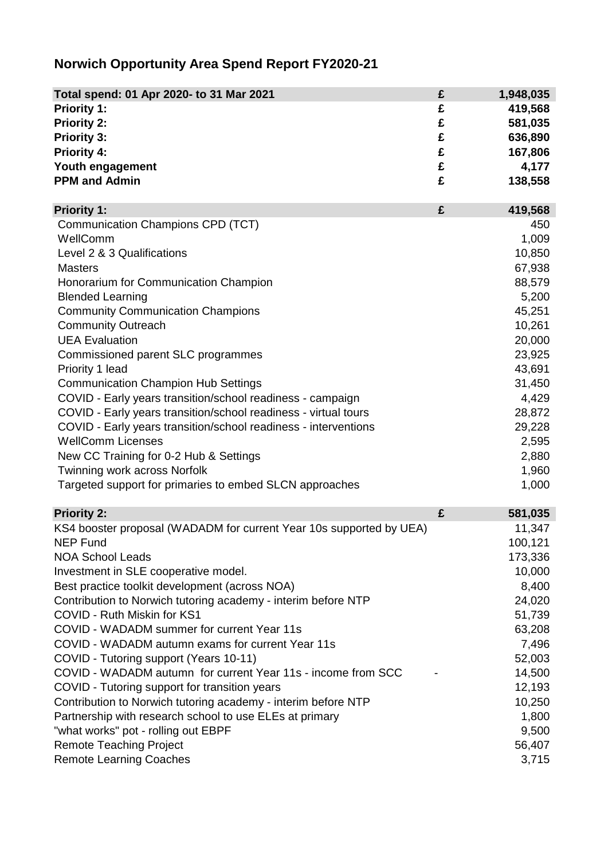## **Norwich Opportunity Area Spend Report FY2020-21**

| Total spend: 01 Apr 2020- to 31 Mar 2021                            | £ | 1,948,035 |
|---------------------------------------------------------------------|---|-----------|
| Priority 1:                                                         | £ | 419,568   |
| <b>Priority 2:</b>                                                  | £ | 581,035   |
| <b>Priority 3:</b>                                                  | £ | 636,890   |
| <b>Priority 4:</b>                                                  | £ | 167,806   |
| Youth engagement                                                    | £ | 4,177     |
| <b>PPM and Admin</b>                                                | £ | 138,558   |
| <b>Priority 1:</b>                                                  | £ | 419,568   |
| <b>Communication Champions CPD (TCT)</b>                            |   | 450       |
| WellComm                                                            |   | 1,009     |
| Level 2 & 3 Qualifications                                          |   | 10,850    |
| <b>Masters</b>                                                      |   | 67,938    |
| Honorarium for Communication Champion                               |   | 88,579    |
| <b>Blended Learning</b>                                             |   | 5,200     |
| <b>Community Communication Champions</b>                            |   | 45,251    |
| <b>Community Outreach</b>                                           |   | 10,261    |
| <b>UEA Evaluation</b>                                               |   | 20,000    |
| Commissioned parent SLC programmes                                  |   | 23,925    |
| Priority 1 lead                                                     |   | 43,691    |
| <b>Communication Champion Hub Settings</b>                          |   | 31,450    |
| COVID - Early years transition/school readiness - campaign          |   | 4,429     |
| COVID - Early years transition/school readiness - virtual tours     |   | 28,872    |
| COVID - Early years transition/school readiness - interventions     |   | 29,228    |
| <b>WellComm Licenses</b>                                            |   | 2,595     |
| New CC Training for 0-2 Hub & Settings                              |   | 2,880     |
| Twinning work across Norfolk                                        |   | 1,960     |
| Targeted support for primaries to embed SLCN approaches             |   | 1,000     |
| <b>Priority 2:</b>                                                  | £ | 581,035   |
| KS4 booster proposal (WADADM for current Year 10s supported by UEA) |   | 11,347    |
| <b>NEP Fund</b>                                                     |   | 100,121   |
| <b>NOA School Leads</b>                                             |   | 173,336   |
| Investment in SLE cooperative model.                                |   | 10,000    |
| Best practice toolkit development (across NOA)                      |   | 8,400     |
| Contribution to Norwich tutoring academy - interim before NTP       |   | 24,020    |
| COVID - Ruth Miskin for KS1                                         |   | 51,739    |
| COVID - WADADM summer for current Year 11s                          |   | 63,208    |
| COVID - WADADM autumn exams for current Year 11s                    |   | 7,496     |
| COVID - Tutoring support (Years 10-11)                              |   | 52,003    |
| COVID - WADADM autumn for current Year 11s - income from SCC        |   | 14,500    |
| COVID - Tutoring support for transition years                       |   | 12,193    |
| Contribution to Norwich tutoring academy - interim before NTP       |   | 10,250    |
| Partnership with research school to use ELEs at primary             |   | 1,800     |
| "what works" pot - rolling out EBPF                                 |   | 9,500     |
| <b>Remote Teaching Project</b>                                      |   | 56,407    |
| <b>Remote Learning Coaches</b>                                      |   | 3,715     |